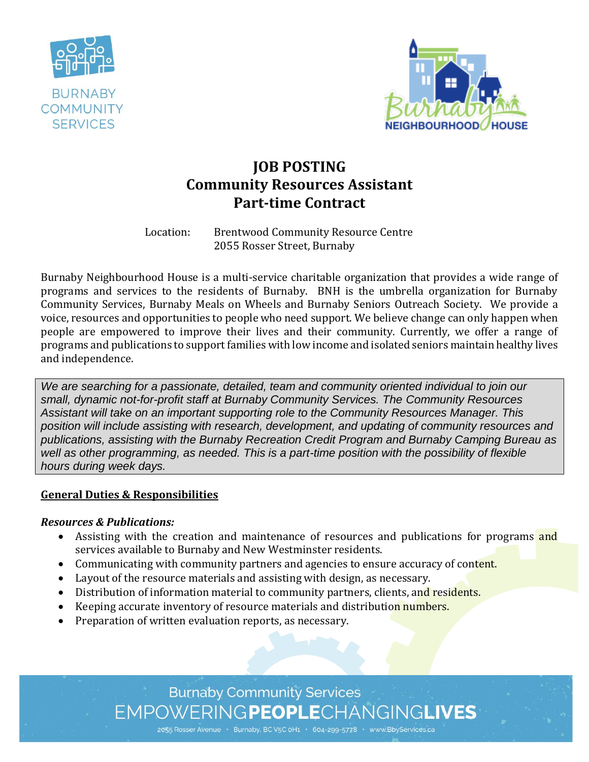



# **JOB POSTING Community Resources Assistant Part-time Contract**

Location: Brentwood Community Resource Centre 2055 Rosser Street, Burnaby

Burnaby Neighbourhood House is a multi-service charitable organization that provides a wide range of programs and services to the residents of Burnaby. BNH is the umbrella organization for Burnaby Community Services, Burnaby Meals on Wheels and Burnaby Seniors Outreach Society. We provide a voice, resources and opportunities to people who need support. We believe change can only happen when people are empowered to improve their lives and their community. Currently, we offer a range of programs and publications to support families with low income and isolated seniors maintain healthy lives and independence.

*We are searching for a passionate, detailed, team and community oriented individual to join our small, dynamic not-for-profit staff at Burnaby Community Services. The Community Resources Assistant will take on an important supporting role to the Community Resources Manager. This position will include assisting with research, development, and updating of community resources and publications, assisting with the Burnaby Recreation Credit Program and Burnaby Camping Bureau as well as other programming, as needed. This is a part-time position with the possibility of flexible hours during week days.*

#### **General Duties & Responsibilities**

#### *Resources & Publications:*

- Assisting with the creation and maintenance of resources and publications for programs and services available to Burnaby and New Westminster residents.
- Communicating with community partners and agencies to ensure accuracy of content.
- Layout of the resource materials and assisting with design, as necessary.
- Distribution of information material to community partners, clients, and residents.
- Exercing accurate inventory of resource materials and distribution numbers.
- Preparation of written evaluation reports, as necessary.

**Burnaby Community Services** EMPOWERINGPEOPLECHANGINGLIVES

2055 Rosser Avenue · Burnaby, BC V5C oH1 · 604-299-5778 · www.BbyServices.ca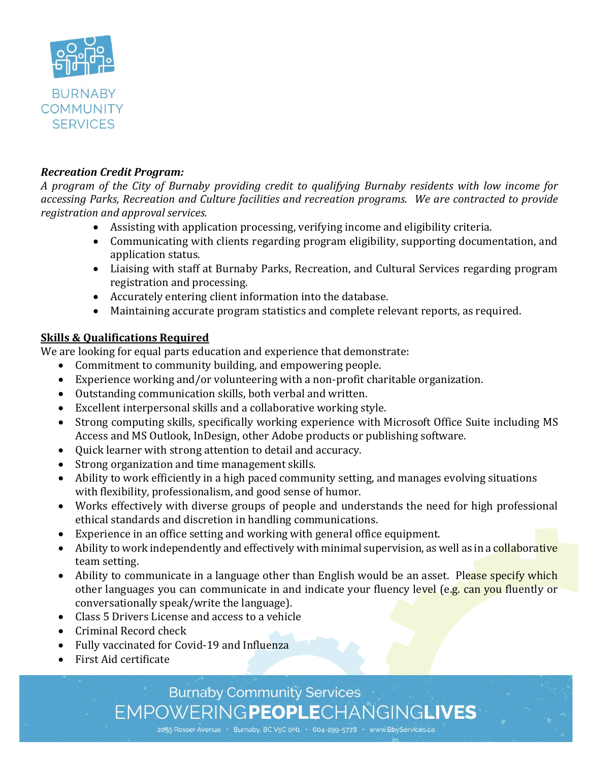

#### *Recreation Credit Program:*

*A program of the City of Burnaby providing credit to qualifying Burnaby residents with low income for accessing Parks, Recreation and Culture facilities and recreation programs. We are contracted to provide registration and approval services.*

- Assisting with application processing, verifying income and eligibility criteria.
- Communicating with clients regarding program eligibility, supporting documentation, and application status.
- Liaising with staff at Burnaby Parks, Recreation, and Cultural Services regarding program registration and processing.
- Accurately entering client information into the database.
- Maintaining accurate program statistics and complete relevant reports, as required.

### **Skills & Qualifications Required**

We are looking for equal parts education and experience that demonstrate:

- Commitment to community building, and empowering people.
- Experience working and/or volunteering with a non-profit charitable organization.
- Outstanding communication skills, both verbal and written.
- Excellent interpersonal skills and a collaborative working style.
- Strong computing skills, specifically working experience with Microsoft Office Suite including MS Access and MS Outlook, InDesign, other Adobe products or publishing software.
- Quick learner with strong attention to detail and accuracy.
- Strong organization and time management skills.
- Ability to work efficiently in a high paced community setting, and manages evolving situations with flexibility, professionalism, and good sense of humor.
- Works effectively with diverse groups of people and understands the need for high professional ethical standards and discretion in handling communications.
- Experience in an office setting and working with general office equipment.
- Ability to work independently and effectively with minimal supervision, as well as in a collaborative team setting.
- Ability to communicate in a language other than English would be an asset. Please specify which other languages you can communicate in and indicate your fluency level (e.g. can you fluently or conversationally speak/write the language).
- Class 5 Drivers License and access to a vehicle
- Criminal Record check
- Fully vaccinated for Covid-19 and Influenza
- First Aid certificate

## **Burnaby Community Services** EMPOWERINGPEOPLECHANGINGLIVES

2055 Rosser Avenue · Burnaby, BC V5C 0H1 · 604-299-5778 · www.BbyServices